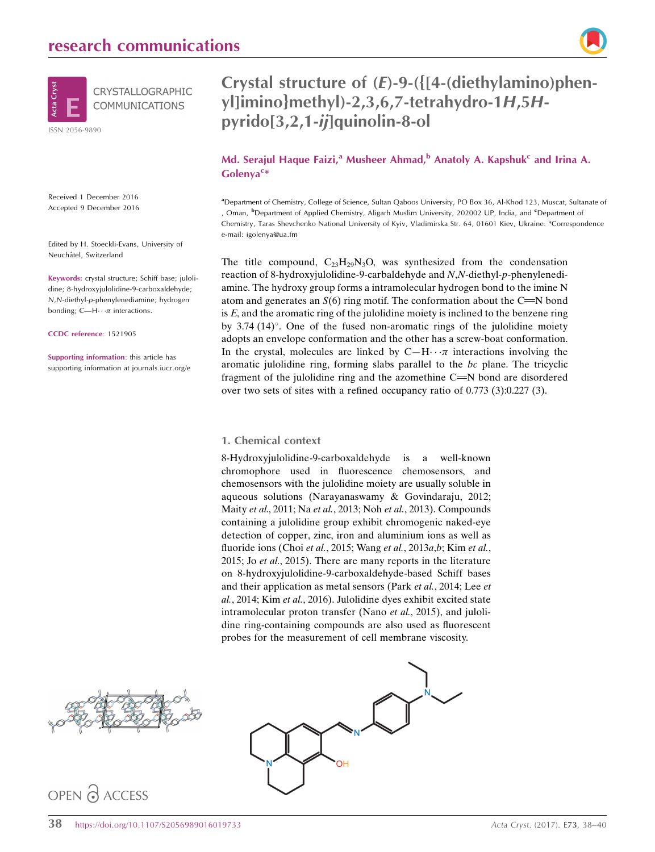

Received 1 December 2016 Accepted 9 December 2016

Edited by H. Stoeckli-Evans, University of Neuchâtel, Switzerland

Keywords: crystal structure; Schiff base; julolidine; 8-hydroxyjulolidine-9-carboxaldehyde; N,N-diethyl-p-phenylenediamine; hydrogen bonding; C—H $\cdots$  $\pi$  interactions.

CCDC reference: 1521905

Supporting information: this article has supporting information at journals.iucr.org/e

## Crystal structure of (E)-9-({[4-(diethylamino)phenyl]imino}methyl)-2,3,6,7-tetrahydro-1H,5Hpyrido[3,2,1-ij]quinolin-8-ol

## Md. Serajul Haque Faizi,<sup>a</sup> Musheer Ahmad,<sup>b</sup> Anatoly A. Kapshuk<sup>c</sup> and Irina A. Golenya<sup>c\*</sup>

a Department of Chemistry, College of Science, Sultan Qaboos University, PO Box 36, Al-Khod 123, Muscat, Sultanate of , Oman, <sup>b</sup>Department of Applied Chemistry, Aligarh Muslim University, 202002 UP, India, and <sup>c</sup>Department of Chemistry, Taras Shevchenko National University of Kyiv, Vladimirska Str. 64, 01601 Kiev, Ukraine. \*Correspondence e-mail: igolenya@ua.fm

The title compound,  $C_{23}H_{29}N_3O$ , was synthesized from the condensation reaction of 8-hydroxyjulolidine-9-carbaldehyde and N,N-diethyl-p-phenylenediamine. The hydroxy group forms a intramolecular hydrogen bond to the imine N atom and generates an  $S(6)$  ring motif. The conformation about the C=N bond is E, and the aromatic ring of the julolidine moiety is inclined to the benzene ring by 3.74  $(14)^\circ$ . One of the fused non-aromatic rings of the julolidine moiety adopts an envelope conformation and the other has a screw-boat conformation. In the crystal, molecules are linked by  $C-H \cdots \pi$  interactions involving the aromatic julolidine ring, forming slabs parallel to the bc plane. The tricyclic fragment of the julolidine ring and the azomethine  $C = N$  bond are disordered over two sets of sites with a refined occupancy ratio of 0.773 (3):0.227 (3).

### 1. Chemical context

8-Hydroxyjulolidine-9-carboxaldehyde is a well-known chromophore used in fluorescence chemosensors, and chemosensors with the julolidine moiety are usually soluble in aqueous solutions (Narayanaswamy & Govindaraju, 2012; Maity et al., 2011; Na et al., 2013; Noh et al., 2013). Compounds containing a julolidine group exhibit chromogenic naked-eye detection of copper, zinc, iron and aluminium ions as well as fluoride ions (Choi et al., 2015; Wang et al., 2013a,b; Kim et al., 2015; Jo et al., 2015). There are many reports in the literature on 8-hydroxyjulolidine-9-carboxaldehyde-based Schiff bases and their application as metal sensors (Park et al., 2014; Lee et al., 2014; Kim et al., 2016). Julolidine dyes exhibit excited state intramolecular proton transfer (Nano *et al.*, 2015), and julolidine ring-containing compounds are also used as fluorescent probes for the measurement of cell membrane viscosity.



## OPEN PACCESS

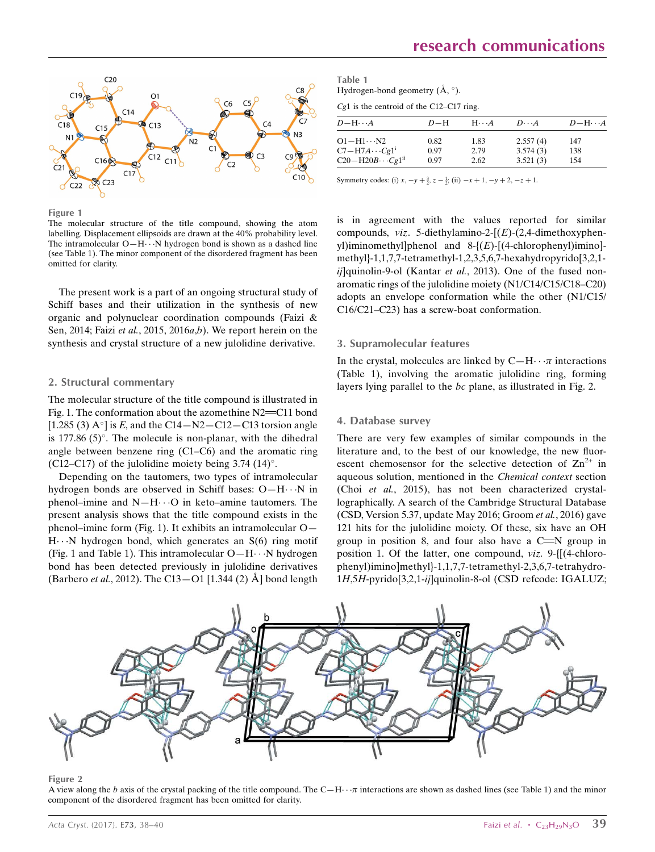

Figure 1

The molecular structure of the title compound, showing the atom labelling. Displacement ellipsoids are drawn at the 40% probability level. The intramolecular  $O-H\cdots N$  hydrogen bond is shown as a dashed line (see Table 1). The minor component of the disordered fragment has been omitted for clarity.

The present work is a part of an ongoing structural study of Schiff bases and their utilization in the synthesis of new organic and polynuclear coordination compounds (Faizi & Sen, 2014; Faizi et al., 2015, 2016a,b). We report herein on the synthesis and crystal structure of a new julolidine derivative.

#### 2. Structural commentary

The molecular structure of the title compound is illustrated in Fig. 1. The conformation about the azomethine  $N2 = C11$  bond [1.285 (3)  $A^{\circ}$ ] is E, and the C14 - N2 - C12 - C13 torsion angle is 177.86  $(5)$ °. The molecule is non-planar, with the dihedral angle between benzene ring (C1–C6) and the aromatic ring (C12–C17) of the julolidine moiety being  $3.74$  (14)°.

Depending on the tautomers, two types of intramolecular hydrogen bonds are observed in Schiff bases: O-H···N in phenol-imine and  $N-H\cdots$ O in keto-amine tautomers. The present analysis shows that the title compound exists in the phenol–imine form (Fig. 1). It exhibits an intramolecular O— H---N hydrogen bond, which generates an S(6) ring motif (Fig. 1 and Table 1). This intramolecular  $O-H \cdots N$  hydrogen bond has been detected previously in julolidine derivatives (Barbero *et al.*, 2012). The C13–O1 [1.344 (2)  $\AA$ ] bond length

Table 1 Hydrogen-bond geometry  $(\AA, \degree)$ .

Cg1 is the centroid of the C12–C17 ring.

| $D - H \cdots A$                                                | $D-H$        | $H\cdots A$  | $D\cdots A$          | $D$ -H $\cdots$ A |
|-----------------------------------------------------------------|--------------|--------------|----------------------|-------------------|
| $O1 - H1 \cdots N2$                                             | 0.82         | 1.83         | 2.557(4)             | 147               |
| $C7 - H7A \cdots Cg1$ <sup>i</sup><br>$C20-H20B\cdots Cg1^{ii}$ | 0.97<br>0.97 | 2.79<br>2.62 | 3.574(3)<br>3.521(3) | 138<br>154        |

Symmetry codes: (i)  $x, -y + \frac{3}{2}, z - \frac{1}{2}$ ; (ii)  $-x + 1, -y + 2, -z + 1$ .

is in agreement with the values reported for similar compounds,  $viz.$  5-diethylamino-2- $[(E)-(2.4-dimethoxvphen$ yl)iminomethyl]phenol and 8-{(E)-[(4-chlorophenyl)imino] methyl}-1,1,7,7-tetramethyl-1,2,3,5,6,7-hexahydropyrido[3,2,1  $ii$ ]quinolin-9-ol (Kantar et al., 2013). One of the fused nonaromatic rings of the julolidine moiety (N1/C14/C15/C18–C20) adopts an envelope conformation while the other (N1/C15/ C16/C21–C23) has a screw-boat conformation.

### 3. Supramolecular features

In the crystal, molecules are linked by  $C-H \cdots \pi$  interactions (Table 1), involving the aromatic julolidine ring, forming layers lying parallel to the bc plane, as illustrated in Fig. 2.

### 4. Database survey

There are very few examples of similar compounds in the literature and, to the best of our knowledge, the new fluorescent chemosensor for the selective detection of  $\text{Zn}^{2+}$  in aqueous solution, mentioned in the Chemical context section (Choi et al., 2015), has not been characterized crystallographically. A search of the Cambridge Structural Database (CSD, Version 5.37, update May 2016; Groom et al., 2016) gave 121 hits for the julolidine moiety. Of these, six have an OH group in position 8, and four also have a  $C = N$  group in position 1. Of the latter, one compound, viz. 9-{[(4-chlorophenyl)imino]methyl}-1,1,7,7-tetramethyl-2,3,6,7-tetrahydro-1H,5H-pyrido[3,2,1-ij]quinolin-8-ol (CSD refcode: IGALUZ;



Figure 2

A view along the b axis of the crystal packing of the title compound. The  $C-H \cdot \pi$  interactions are shown as dashed lines (see Table 1) and the minor component of the disordered fragment has been omitted for clarity.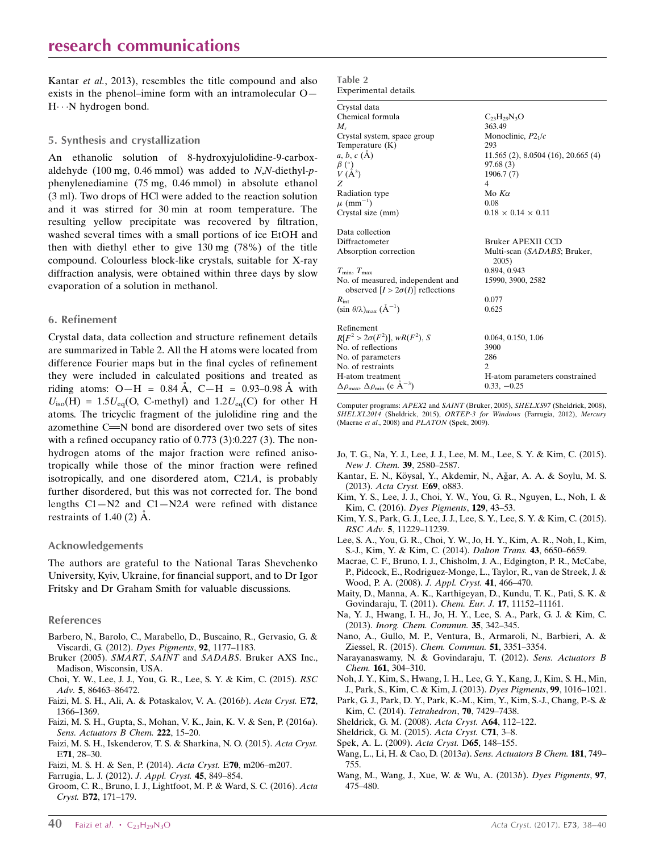Kantar et al., 2013), resembles the title compound and also exists in the phenol–imine form with an intramolecular O— H···N hydrogen bond.

### 5. Synthesis and crystallization

An ethanolic solution of 8-hydroxyjulolidine-9-carboxaldehyde (100 mg, 0.46 mmol) was added to  $N$ , $N$ -diethyl- $p$ phenylenediamine (75 mg, 0.46 mmol) in absolute ethanol (3 ml). Two drops of HCl were added to the reaction solution and it was stirred for 30 min at room temperature. The resulting yellow precipitate was recovered by filtration, washed several times with a small portions of ice EtOH and then with diethyl ether to give 130 mg (78%) of the title compound. Colourless block-like crystals, suitable for X-ray diffraction analysis, were obtained within three days by slow evaporation of a solution in methanol.

#### 6. Refinement

Crystal data, data collection and structure refinement details are summarized in Table 2. All the H atoms were located from difference Fourier maps but in the final cycles of refinement they were included in calculated positions and treated as riding atoms:  $O-H = 0.84 \text{ Å}$ ,  $C-H = 0.93{\text{--}}0.98 \text{ Å}$  with  $U_{\text{iso}}(H) = 1.5U_{\text{eq}}(O, C\text{-methyl})$  and  $1.2U_{\text{eq}}(C)$  for other H atoms. The tricyclic fragment of the julolidine ring and the azomethine C=N bond are disordered over two sets of sites with a refined occupancy ratio of 0.773 (3):0.227 (3). The nonhydrogen atoms of the major fraction were refined anisotropically while those of the minor fraction were refined isotropically, and one disordered atom, C21A, is probably further disordered, but this was not corrected for. The bond lengths  $C1-N2$  and  $C1-N2A$  were refined with distance restraints of 1.40  $(2)$   $\AA$ .

### Acknowledgements

The authors are grateful to the National Taras Shevchenko University, Kyiv, Ukraine, for financial support, and to Dr Igor Fritsky and Dr Graham Smith for valuable discussions.

### References

- [Barbero, N., Barolo, C., Marabello, D., Buscaino, R., Gervasio, G. &](https://scripts.iucr.org/cgi-bin/cr.cgi?rm=pdfbb&cnor=su5338&bbid=BB1) [Viscardi, G. \(2012\).](https://scripts.iucr.org/cgi-bin/cr.cgi?rm=pdfbb&cnor=su5338&bbid=BB1) Dyes Pigments, 92, 1177–1183.
- Bruker (2005). SMART, SAINT and SADABS[. Bruker AXS Inc.,](https://scripts.iucr.org/cgi-bin/cr.cgi?rm=pdfbb&cnor=su5338&bbid=BB2) [Madison, Wisconsin, USA.](https://scripts.iucr.org/cgi-bin/cr.cgi?rm=pdfbb&cnor=su5338&bbid=BB2)
- [Choi, Y. W., Lee, J. J., You, G. R., Lee, S. Y. & Kim, C. \(2015\).](https://scripts.iucr.org/cgi-bin/cr.cgi?rm=pdfbb&cnor=su5338&bbid=BB3) RSC Adv. 5[, 86463–86472.](https://scripts.iucr.org/cgi-bin/cr.cgi?rm=pdfbb&cnor=su5338&bbid=BB3)
- [Faizi, M. S. H., Ali, A. & Potaskalov, V. A. \(2016](https://scripts.iucr.org/cgi-bin/cr.cgi?rm=pdfbb&cnor=su5338&bbid=BB4)b). Acta Cryst. E72, [1366–1369.](https://scripts.iucr.org/cgi-bin/cr.cgi?rm=pdfbb&cnor=su5338&bbid=BB4)
- [Faizi, M. S. H., Gupta, S., Mohan, V. K., Jain, K. V. & Sen, P. \(2016](https://scripts.iucr.org/cgi-bin/cr.cgi?rm=pdfbb&cnor=su5338&bbid=BB5)a). [Sens. Actuators B Chem.](https://scripts.iucr.org/cgi-bin/cr.cgi?rm=pdfbb&cnor=su5338&bbid=BB5) 222, 15-20.
- [Faizi, M. S. H., Iskenderov, T. S. & Sharkina, N. O. \(2015\).](https://scripts.iucr.org/cgi-bin/cr.cgi?rm=pdfbb&cnor=su5338&bbid=BB6) Acta Cryst. E71[, 28–30.](https://scripts.iucr.org/cgi-bin/cr.cgi?rm=pdfbb&cnor=su5338&bbid=BB6)
- [Faizi, M. S. H. & Sen, P. \(2014\).](https://scripts.iucr.org/cgi-bin/cr.cgi?rm=pdfbb&cnor=su5338&bbid=BB7) Acta Cryst. E70, m206–m207.
- [Farrugia, L. J. \(2012\).](https://scripts.iucr.org/cgi-bin/cr.cgi?rm=pdfbb&cnor=su5338&bbid=BB8) J. Appl. Cryst. 45, 849–854.
- [Groom, C. R., Bruno, I. J., Lightfoot, M. P. & Ward, S. C. \(2016\).](https://scripts.iucr.org/cgi-bin/cr.cgi?rm=pdfbb&cnor=su5338&bbid=BB9) Acta Cryst. B72[, 171–179.](https://scripts.iucr.org/cgi-bin/cr.cgi?rm=pdfbb&cnor=su5338&bbid=BB9)

| Table 2 |                       |
|---------|-----------------------|
|         | Experimental details. |

| Crystal data                                                                |                                       |
|-----------------------------------------------------------------------------|---------------------------------------|
| Chemical formula                                                            | $C_{23}H_{29}N_3O$                    |
| $M_{r}$                                                                     | 363.49                                |
| Crystal system, space group                                                 | Monoclinic, $P21/c$                   |
| Temperature $(K)$                                                           | 293                                   |
| a, b, c (A)                                                                 | $11.565$ (2), 8.0504 (16), 20.665 (4) |
|                                                                             | 97.68(3)                              |
| $\begin{array}{c} \beta \ (\hat{\ }) \\ V \ (\hat{A}^3) \end{array}$        | 1906.7(7)                             |
| Z                                                                           | $\overline{4}$                        |
| Radiation type                                                              | Mo $K\alpha$                          |
| $\mu$ (mm <sup>-1</sup> )                                                   | 0.08                                  |
| Crystal size (mm)                                                           | $0.18 \times 0.14 \times 0.11$        |
| Data collection                                                             |                                       |
| Diffractometer                                                              | <b>Bruker APEXII CCD</b>              |
| Absorption correction                                                       | Multi-scan (SADABS; Bruker,<br>2005)  |
| $T_{\min}$ , $T_{\max}$                                                     | 0.894, 0.943                          |
| No. of measured, independent and<br>observed $[I > 2\sigma(I)]$ reflections | 15990, 3900, 2582                     |
| $R_{\rm int}$                                                               | 0.077                                 |
| $(\sin \theta/\lambda)_{\text{max}} (\text{\AA}^{-1})$                      | 0.625                                 |
| Refinement                                                                  |                                       |
| $R[F^2 > 2\sigma(F^2)], wR(F^2), S$                                         | 0.064, 0.150, 1.06                    |
| No. of reflections                                                          | 3900                                  |
| No. of parameters                                                           | 286                                   |
| No. of restraints                                                           | 2                                     |
| H-atom treatment                                                            | H-atom parameters constrained         |
| $\Delta\rho_{\text{max}}$ , $\Delta\rho_{\text{min}}$ (e Å <sup>-3</sup> )  | $0.33, -0.25$                         |

Computer programs: APEX2 and SAINT (Bruker, 2005), SHELXS97 (Sheldrick, 2008), SHELXL2014 (Sheldrick, 2015), ORTEP-3 for Windows (Farrugia, 2012), Mercury (Macrae et al., 2008) and PLATON (Spek, 2009).

- [Jo, T. G., Na, Y. J., Lee, J. J., Lee, M. M., Lee, S. Y. & Kim, C. \(2015\).](https://scripts.iucr.org/cgi-bin/cr.cgi?rm=pdfbb&cnor=su5338&bbid=BB10) [New J. Chem.](https://scripts.iucr.org/cgi-bin/cr.cgi?rm=pdfbb&cnor=su5338&bbid=BB10) 39, 2580–2587.
- Kantar, E. N., Köysal, Y., Akdemir, N., Ağar, A. A. & Soylu, M. S. (2013). [Acta Cryst.](https://scripts.iucr.org/cgi-bin/cr.cgi?rm=pdfbb&cnor=su5338&bbid=BB11) E69, o883.
- [Kim, Y. S., Lee, J. J., Choi, Y. W., You, G. R., Nguyen, L., Noh, I. &](https://scripts.iucr.org/cgi-bin/cr.cgi?rm=pdfbb&cnor=su5338&bbid=BB12) [Kim, C. \(2016\).](https://scripts.iucr.org/cgi-bin/cr.cgi?rm=pdfbb&cnor=su5338&bbid=BB12) Dyes Pigments, 129, 43–53.
- [Kim, Y. S., Park, G. J., Lee, J. J., Lee, S. Y., Lee, S. Y. & Kim, C. \(2015\).](https://scripts.iucr.org/cgi-bin/cr.cgi?rm=pdfbb&cnor=su5338&bbid=BB13) RSC Adv. 5[, 11229–11239.](https://scripts.iucr.org/cgi-bin/cr.cgi?rm=pdfbb&cnor=su5338&bbid=BB13)
- [Lee, S. A., You, G. R., Choi, Y. W., Jo, H. Y., Kim, A. R., Noh, I., Kim,](https://scripts.iucr.org/cgi-bin/cr.cgi?rm=pdfbb&cnor=su5338&bbid=BB14) [S.-J., Kim, Y. & Kim, C. \(2014\).](https://scripts.iucr.org/cgi-bin/cr.cgi?rm=pdfbb&cnor=su5338&bbid=BB14) Dalton Trans. 43, 6650–6659.
- [Macrae, C. F., Bruno, I. J., Chisholm, J. A., Edgington, P. R., McCabe,](https://scripts.iucr.org/cgi-bin/cr.cgi?rm=pdfbb&cnor=su5338&bbid=BB15) [P., Pidcock, E., Rodriguez-Monge, L., Taylor, R., van de Streek, J. &](https://scripts.iucr.org/cgi-bin/cr.cgi?rm=pdfbb&cnor=su5338&bbid=BB15) [Wood, P. A. \(2008\).](https://scripts.iucr.org/cgi-bin/cr.cgi?rm=pdfbb&cnor=su5338&bbid=BB15) J. Appl. Cryst. 41, 466–470.
- [Maity, D., Manna, A. K., Karthigeyan, D., Kundu, T. K., Pati, S. K. &](https://scripts.iucr.org/cgi-bin/cr.cgi?rm=pdfbb&cnor=su5338&bbid=BB16) [Govindaraju, T. \(2011\).](https://scripts.iucr.org/cgi-bin/cr.cgi?rm=pdfbb&cnor=su5338&bbid=BB16) Chem. Eur. J. 17, 11152–11161.
- [Na, Y. J., Hwang, I. H., Jo, H. Y., Lee, S. A., Park, G. J. & Kim, C.](https://scripts.iucr.org/cgi-bin/cr.cgi?rm=pdfbb&cnor=su5338&bbid=BB17) (2013). [Inorg. Chem. Commun.](https://scripts.iucr.org/cgi-bin/cr.cgi?rm=pdfbb&cnor=su5338&bbid=BB17) 35, 342–345.
- [Nano, A., Gullo, M. P., Ventura, B., Armaroli, N., Barbieri, A. &](https://scripts.iucr.org/cgi-bin/cr.cgi?rm=pdfbb&cnor=su5338&bbid=BB18) [Ziessel, R. \(2015\).](https://scripts.iucr.org/cgi-bin/cr.cgi?rm=pdfbb&cnor=su5338&bbid=BB18) Chem. Commun. 51, 3351–3354.
- [Narayanaswamy, N. & Govindaraju, T. \(2012\).](https://scripts.iucr.org/cgi-bin/cr.cgi?rm=pdfbb&cnor=su5338&bbid=BB19) Sens. Actuators B Chem. 161[, 304–310.](https://scripts.iucr.org/cgi-bin/cr.cgi?rm=pdfbb&cnor=su5338&bbid=BB19)
- [Noh, J. Y., Kim, S., Hwang, I. H., Lee, G. Y., Kang, J., Kim, S. H., Min,](https://scripts.iucr.org/cgi-bin/cr.cgi?rm=pdfbb&cnor=su5338&bbid=BB20) [J., Park, S., Kim, C. & Kim, J. \(2013\).](https://scripts.iucr.org/cgi-bin/cr.cgi?rm=pdfbb&cnor=su5338&bbid=BB20) Dyes Pigments, 99, 1016–1021.
- [Park, G. J., Park, D. Y., Park, K.-M., Kim, Y., Kim, S.-J., Chang, P.-S. &](https://scripts.iucr.org/cgi-bin/cr.cgi?rm=pdfbb&cnor=su5338&bbid=BB21) [Kim, C. \(2014\).](https://scripts.iucr.org/cgi-bin/cr.cgi?rm=pdfbb&cnor=su5338&bbid=BB21) Tetrahedron, 70, 7429–7438.
- [Sheldrick, G. M. \(2008\).](https://scripts.iucr.org/cgi-bin/cr.cgi?rm=pdfbb&cnor=su5338&bbid=BB22) Acta Cryst. A64, 112–122.
- [Sheldrick, G. M. \(2015\).](https://scripts.iucr.org/cgi-bin/cr.cgi?rm=pdfbb&cnor=su5338&bbid=BB23) Acta Cryst. C71, 3–8.
- [Spek, A. L. \(2009\).](https://scripts.iucr.org/cgi-bin/cr.cgi?rm=pdfbb&cnor=su5338&bbid=BB24) Acta Cryst. D65, 148–155.
- [Wang, L., Li, H. & Cao, D. \(2013](https://scripts.iucr.org/cgi-bin/cr.cgi?rm=pdfbb&cnor=su5338&bbid=BB25)a). Sens. Actuators B Chem. 181, 749– [755.](https://scripts.iucr.org/cgi-bin/cr.cgi?rm=pdfbb&cnor=su5338&bbid=BB25)
- [Wang, M., Wang, J., Xue, W. & Wu, A. \(2013](https://scripts.iucr.org/cgi-bin/cr.cgi?rm=pdfbb&cnor=su5338&bbid=BB26)b). Dyes Pigments, 97, [475–480.](https://scripts.iucr.org/cgi-bin/cr.cgi?rm=pdfbb&cnor=su5338&bbid=BB26)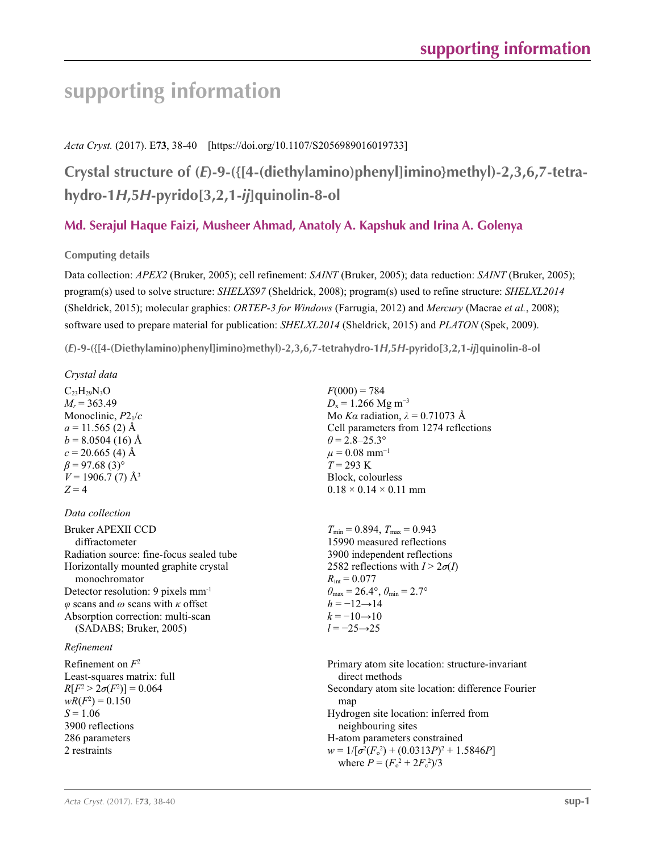## **supporting information**

## *Acta Cryst.* (2017). E**73**, 38-40 [https://doi.org/10.1107/S2056989016019733]

**Crystal structure of (***E***)-9-({[4-(diethylamino)phenyl]imino}methyl)-2,3,6,7-tetrahydro-1***H***,5***H***-pyrido[3,2,1-***ij***]quinolin-8-ol**

## **Md. Serajul Haque Faizi, Musheer Ahmad, Anatoly A. Kapshuk and Irina A. Golenya**

### **Computing details**

Data collection: *APEX2* (Bruker, 2005); cell refinement: *SAINT* (Bruker, 2005); data reduction: *SAINT* (Bruker, 2005); program(s) used to solve structure: *SHELXS97* (Sheldrick, 2008); program(s) used to refine structure: *SHELXL2014* (Sheldrick, 2015); molecular graphics: *ORTEP*-*3 for Windows* (Farrugia, 2012) and *Mercury* (Macrae *et al.*, 2008); software used to prepare material for publication: *SHELXL2014* (Sheldrick, 2015) and *PLATON* (Spek, 2009).

**(***E***)-9-({[4-(Diethylamino)phenyl]imino}methyl)-2,3,6,7-tetrahydro-1***H***,5***H***-pyrido[3,2,1-***ij***]quinolin-8-ol** 

*Crystal data*

 $C_{23}H_{29}N_3O$  $M_r = 363.49$ Monoclinic, *P*21/*c*  $a = 11.565$  (2) Å  $b = 8.0504(16)$  Å  $c = 20.665$  (4) Å  $\beta$  = 97.68 (3)<sup>°</sup>  $V = 1906.7$  (7) Å<sup>3</sup>  $Z = 4$ 

### *Data collection*

Bruker APEXII CCD diffractometer Radiation source: fine-focus sealed tube Horizontally mounted graphite crystal monochromator Detector resolution: 9 pixels mm-1 *φ* scans and *ω* scans with *κ* offset Absorption correction: multi-scan (SADABS; Bruker, 2005)

### *Refinement*

Refinement on *F*<sup>2</sup> Least-squares matrix: full *R*[ $F^2 > 2\sigma(F^2)$ ] = 0.064  $wR(F^2) = 0.150$  $S = 1.06$ 3900 reflections 286 parameters 2 restraints

 $F(000) = 784$  $D_x = 1.266$  Mg m<sup>-3</sup> Mo *Kα* radiation, *λ* = 0.71073 Å Cell parameters from 1274 reflections  $\theta$  = 2.8–25.3°  $\mu = 0.08$  mm<sup>-1</sup> *T* = 293 K Block, colourless  $0.18 \times 0.14 \times 0.11$  mm

 $T_{\text{min}} = 0.894, T_{\text{max}} = 0.943$ 15990 measured reflections 3900 independent reflections 2582 reflections with  $I > 2\sigma(I)$  $R_{\text{int}} = 0.077$  $\theta_{\text{max}} = 26.4^{\circ}, \theta_{\text{min}} = 2.7^{\circ}$  $h = -12 \rightarrow 14$  $k = -10 \rightarrow 10$ *l* = −25→25

Primary atom site location: structure-invariant direct methods Secondary atom site location: difference Fourier map Hydrogen site location: inferred from neighbouring sites H-atom parameters constrained  $w = 1/[\sigma^2 (F_o^2) + (0.0313P)^2 + 1.5846P]$ where  $P = (F_0^2 + 2F_c^2)/3$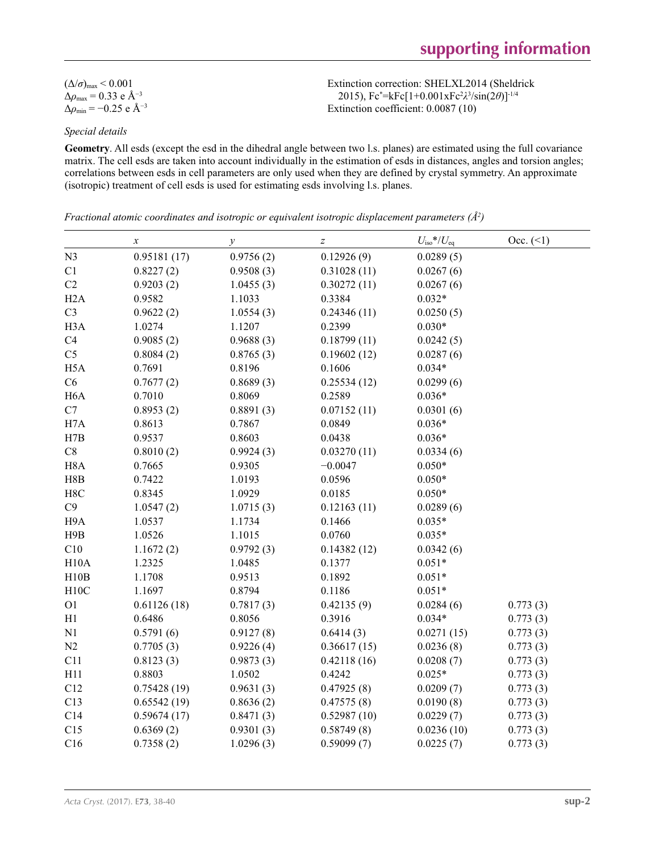| $(\Delta/\sigma)_{\text{max}}$ < 0.001           |
|--------------------------------------------------|
| $\Delta\rho_{\rm max} = 0.33$ e Å <sup>-3</sup>  |
| $\Delta\rho_{\rm min}$ = -0.25 e Å <sup>-3</sup> |

Extinction correction: SHELXL2014 (Sheldrick 2015), Fc\* =kFc[1+0.001xFc2 *λ*3 /sin(2*θ*)]-1/4 Extinction coefficient: 0.0087 (10)

### *Special details*

**Geometry**. All esds (except the esd in the dihedral angle between two l.s. planes) are estimated using the full covariance matrix. The cell esds are taken into account individually in the estimation of esds in distances, angles and torsion angles; correlations between esds in cell parameters are only used when they are defined by crystal symmetry. An approximate (isotropic) treatment of cell esds is used for estimating esds involving l.s. planes.

*Fractional atomic coordinates and isotropic or equivalent isotropic displacement parameters (Å<sup>2</sup>)* 

|                  | $\boldsymbol{x}$ | $\mathcal{Y}$ | $\boldsymbol{Z}$ | $U_{\rm iso}*/U_{\rm eq}$ | $Occ. (\leq 1)$ |
|------------------|------------------|---------------|------------------|---------------------------|-----------------|
| N <sub>3</sub>   | 0.95181(17)      | 0.9756(2)     | 0.12926(9)       | 0.0289(5)                 |                 |
| C1               | 0.8227(2)        | 0.9508(3)     | 0.31028(11)      | 0.0267(6)                 |                 |
| C2               | 0.9203(2)        | 1.0455(3)     | 0.30272(11)      | 0.0267(6)                 |                 |
| H2A              | 0.9582           | 1.1033        | 0.3384           | $0.032*$                  |                 |
| C <sub>3</sub>   | 0.9622(2)        | 1.0554(3)     | 0.24346(11)      | 0.0250(5)                 |                 |
| H <sub>3</sub> A | 1.0274           | 1.1207        | 0.2399           | $0.030*$                  |                 |
| C4               | 0.9085(2)        | 0.9688(3)     | 0.18799(11)      | 0.0242(5)                 |                 |
| C <sub>5</sub>   | 0.8084(2)        | 0.8765(3)     | 0.19602(12)      | 0.0287(6)                 |                 |
| H <sub>5</sub> A | 0.7691           | 0.8196        | 0.1606           | $0.034*$                  |                 |
| C6               | 0.7677(2)        | 0.8689(3)     | 0.25534(12)      | 0.0299(6)                 |                 |
| H <sub>6</sub> A | 0.7010           | 0.8069        | 0.2589           | $0.036*$                  |                 |
| $\mathbf{C}7$    | 0.8953(2)        | 0.8891(3)     | 0.07152(11)      | 0.0301(6)                 |                 |
| H7A              | 0.8613           | 0.7867        | 0.0849           | $0.036*$                  |                 |
| H7B              | 0.9537           | 0.8603        | 0.0438           | $0.036*$                  |                 |
| C8               | 0.8010(2)        | 0.9924(3)     | 0.03270(11)      | 0.0334(6)                 |                 |
| H <sub>8</sub> A | 0.7665           | 0.9305        | $-0.0047$        | $0.050*$                  |                 |
| H8B              | 0.7422           | 1.0193        | 0.0596           | $0.050*$                  |                 |
| H8C              | 0.8345           | 1.0929        | 0.0185           | $0.050*$                  |                 |
| C9               | 1.0547(2)        | 1.0715(3)     | 0.12163(11)      | 0.0289(6)                 |                 |
| H9A              | 1.0537           | 1.1734        | 0.1466           | $0.035*$                  |                 |
| H9B              | 1.0526           | 1.1015        | 0.0760           | $0.035*$                  |                 |
| C10              | 1.1672(2)        | 0.9792(3)     | 0.14382(12)      | 0.0342(6)                 |                 |
| H10A             | 1.2325           | 1.0485        | 0.1377           | $0.051*$                  |                 |
| H10B             | 1.1708           | 0.9513        | 0.1892           | $0.051*$                  |                 |
| H10C             | 1.1697           | 0.8794        | 0.1186           | $0.051*$                  |                 |
| ${\rm O1}$       | 0.61126(18)      | 0.7817(3)     | 0.42135(9)       | 0.0284(6)                 | 0.773(3)        |
| H1               | 0.6486           | 0.8056        | 0.3916           | $0.034*$                  | 0.773(3)        |
| N1               | 0.5791(6)        | 0.9127(8)     | 0.6414(3)        | 0.0271(15)                | 0.773(3)        |
| N2               | 0.7705(3)        | 0.9226(4)     | 0.36617(15)      | 0.0236(8)                 | 0.773(3)        |
| C11              | 0.8123(3)        | 0.9873(3)     | 0.42118(16)      | 0.0208(7)                 | 0.773(3)        |
| H11              | 0.8803           | 1.0502        | 0.4242           | $0.025*$                  | 0.773(3)        |
| C12              | 0.75428(19)      | 0.9631(3)     | 0.47925(8)       | 0.0209(7)                 | 0.773(3)        |
| C13              | 0.65542(19)      | 0.8636(2)     | 0.47575(8)       | 0.0190(8)                 | 0.773(3)        |
| C14              | 0.59674(17)      | 0.8471(3)     | 0.52987(10)      | 0.0229(7)                 | 0.773(3)        |
| C15              | 0.6369(2)        | 0.9301(3)     | 0.58749(8)       | 0.0236(10)                | 0.773(3)        |
| C16              | 0.7358(2)        | 1.0296(3)     | 0.59099(7)       | 0.0225(7)                 | 0.773(3)        |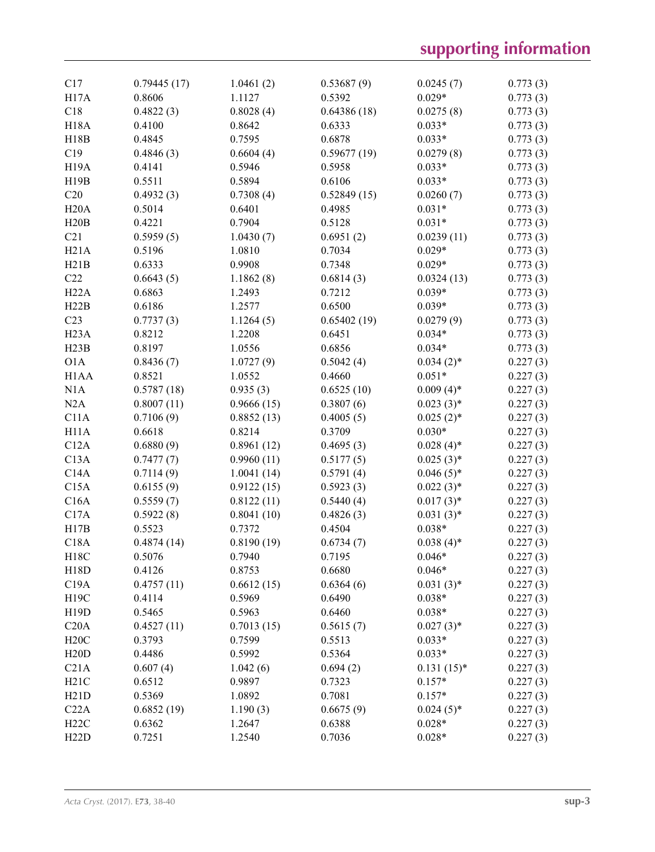| C17                           | 0.79445(17) | 1.0461(2)  | 0.53687(9)          | 0.0245(7)                | 0.773(3) |
|-------------------------------|-------------|------------|---------------------|--------------------------|----------|
| H <sub>17</sub> A             | 0.8606      | 1.1127     | 0.5392              | $0.029*$                 | 0.773(3) |
| C18                           | 0.4822(3)   | 0.8028(4)  | 0.64386(18)         | 0.0275(8)                | 0.773(3) |
| <b>H18A</b>                   | 0.4100      | 0.8642     | 0.6333              | $0.033*$                 | 0.773(3) |
| H18B                          | 0.4845      | 0.7595     | 0.6878              | $0.033*$                 | 0.773(3) |
| C19                           | 0.4846(3)   | 0.6604(4)  | 0.59677(19)         | 0.0279(8)                | 0.773(3) |
| H <sub>19</sub> A             | 0.4141      | 0.5946     | 0.5958              | $0.033*$                 | 0.773(3) |
| H19B                          | 0.5511      | 0.5894     | 0.6106              | $0.033*$                 | 0.773(3) |
| C20                           | 0.4932(3)   | 0.7308(4)  | 0.52849(15)         | 0.0260(7)                | 0.773(3) |
| H20A                          | 0.5014      | 0.6401     | 0.4985              | $0.031*$                 | 0.773(3) |
| H20B                          | 0.4221      | 0.7904     | 0.5128              | $0.031*$                 | 0.773(3) |
| C21                           | 0.5959(5)   | 1.0430(7)  | 0.6951(2)           | 0.0239(11)               | 0.773(3) |
| H21A                          | 0.5196      | 1.0810     | 0.7034              | $0.029*$                 | 0.773(3) |
| H21B                          | 0.6333      | 0.9908     | 0.7348              | $0.029*$                 | 0.773(3) |
| C22                           | 0.6643(5)   | 1.1862(8)  | 0.6814(3)           | 0.0324(13)               | 0.773(3) |
| H22A                          | 0.6863      | 1.2493     | 0.7212              | $0.039*$                 | 0.773(3) |
| H22B                          | 0.6186      | 1.2577     | 0.6500              | $0.039*$                 | 0.773(3) |
| C23                           | 0.7737(3)   | 1.1264(5)  | 0.65402(19)         | 0.0279(9)                | 0.773(3) |
| H <sub>23</sub> A             | 0.8212      | 1.2208     | 0.6451              | $0.034*$                 | 0.773(3) |
| H23B                          | 0.8197      | 1.0556     | 0.6856              | $0.034*$                 | 0.773(3) |
| O1A                           | 0.8436(7)   | 1.0727(9)  | 0.5042(4)           | $0.034(2)$ *             | 0.227(3) |
| H <sub>1</sub> A <sub>A</sub> | 0.8521      | 1.0552     | 0.4660              | $0.051*$                 | 0.227(3) |
| N1A                           | 0.5787(18)  | 0.935(3)   | 0.6525(10)          | $0.009(4)$ *             | 0.227(3) |
| N2A                           | 0.8007(11)  | 0.9666(15) | 0.3807(6)           | $0.023(3)*$              | 0.227(3) |
| C11A                          | 0.7106(9)   | 0.8852(13) | 0.4005(5)           | $0.025(2)$ *             | 0.227(3) |
| H11A                          | 0.6618      | 0.8214     | 0.3709              | $0.030*$                 | 0.227(3) |
| C12A                          | 0.6880(9)   | 0.8961(12) | 0.4695(3)           | $0.028(4)$ *             | 0.227(3) |
| C13A                          | 0.7477(7)   | 0.9960(11) | 0.5177(5)           | $0.025(3)$ *             | 0.227(3) |
| C14A                          |             |            | 0.5791(4)           | $0.046(5)$ *             | 0.227(3) |
| C15A                          | 0.7114(9)   | 1.0041(14) |                     |                          | 0.227(3) |
|                               | 0.6155(9)   | 0.9122(15) | 0.5923(3)           | $0.022(3)*$              |          |
| C16A                          | 0.5559(7)   | 0.8122(11) | 0.5440(4)           | $0.017(3)$ *             | 0.227(3) |
| C17A                          | 0.5922(8)   | 0.8041(10) | 0.4826(3)           | $0.031(3)*$              | 0.227(3) |
| H17B                          | 0.5523      | 0.7372     | 0.4504              | $0.038*$                 | 0.227(3) |
| C18A                          | 0.4874(14)  | 0.8190(19) | 0.6734(7)<br>0.7195 | $0.038(4)$ *<br>$0.046*$ | 0.227(3) |
| H <sub>18</sub> C             | 0.5076      | 0.7940     |                     |                          | 0.227(3) |
| H18D                          | 0.4126      | 0.8753     | 0.6680              | $0.046*$                 | 0.227(3) |
| C19A                          | 0.4757(11)  | 0.6612(15) | 0.6364(6)           | $0.031(3)*$              | 0.227(3) |
| H19C                          | 0.4114      | 0.5969     | 0.6490              | $0.038*$                 | 0.227(3) |
| H19D                          | 0.5465      | 0.5963     | 0.6460              | $0.038*$                 | 0.227(3) |
| C20A                          | 0.4527(11)  | 0.7013(15) | 0.5615(7)           | $0.027(3)$ *             | 0.227(3) |
| H20C                          | 0.3793      | 0.7599     | 0.5513              | $0.033*$                 | 0.227(3) |
| H20D                          | 0.4486      | 0.5992     | 0.5364              | $0.033*$                 | 0.227(3) |
| C21A                          | 0.607(4)    | 1.042(6)   | 0.694(2)            | $0.131(15)*$             | 0.227(3) |
| H21C                          | 0.6512      | 0.9897     | 0.7323              | $0.157*$                 | 0.227(3) |
| H21D                          | 0.5369      | 1.0892     | 0.7081              | $0.157*$                 | 0.227(3) |
| C22A                          | 0.6852(19)  | 1.190(3)   | 0.6675(9)           | $0.024(5)$ *             | 0.227(3) |
| H22C                          | 0.6362      | 1.2647     | 0.6388              | $0.028*$                 | 0.227(3) |
| H22D                          | 0.7251      | 1.2540     | 0.7036              | $0.028*$                 | 0.227(3) |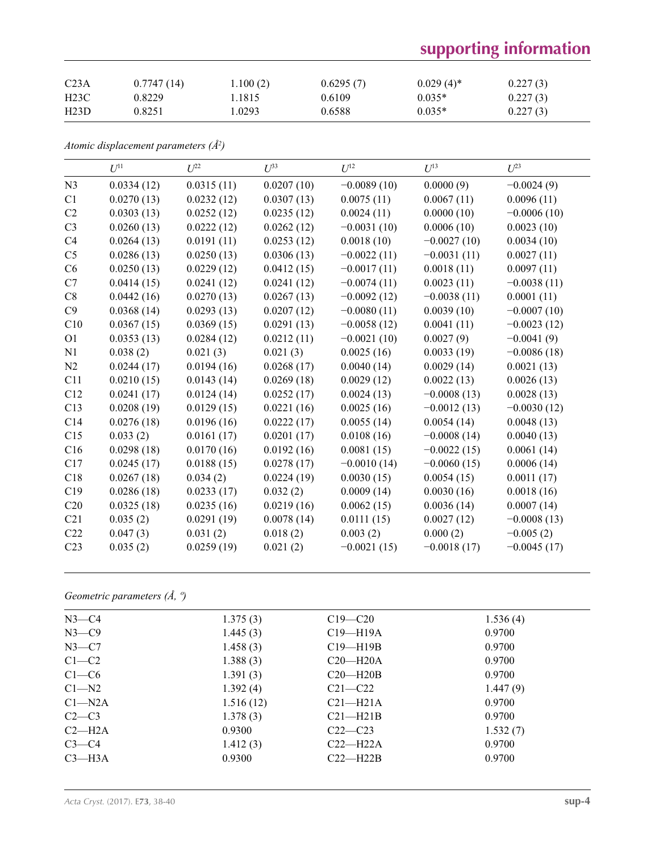# **supporting information**

| C <sub>23A</sub> | 0.7747(14) | 1.100(2) | 0.6295(7) | $0.029(4)$ <sup>*</sup> | 0.227(3) |
|------------------|------------|----------|-----------|-------------------------|----------|
| H23C             | 0.8229     | 1.1815   | 0.6109    | $0.035*$                | 0.227(3) |
| H23D             | 0.8251     | 1.0293   | 0.6588    | $0.035*$                | 0.227(3) |

*Atomic displacement parameters (Å2 )*

|                 | I/I <sup>11</sup> | $U^{22}$   | $I^{\beta}$ | $U^{12}$      | $U^{13}$      | I/23          |
|-----------------|-------------------|------------|-------------|---------------|---------------|---------------|
| N <sub>3</sub>  | 0.0334(12)        | 0.0315(11) | 0.0207(10)  | $-0.0089(10)$ | 0.0000(9)     | $-0.0024(9)$  |
| C1              | 0.0270(13)        | 0.0232(12) | 0.0307(13)  | 0.0075(11)    | 0.0067(11)    | 0.0096(11)    |
| C2              | 0.0303(13)        | 0.0252(12) | 0.0235(12)  | 0.0024(11)    | 0.0000(10)    | $-0.0006(10)$ |
| C <sub>3</sub>  | 0.0260(13)        | 0.0222(12) | 0.0262(12)  | $-0.0031(10)$ | 0.0006(10)    | 0.0023(10)    |
| C4              | 0.0264(13)        | 0.0191(11) | 0.0253(12)  | 0.0018(10)    | $-0.0027(10)$ | 0.0034(10)    |
| C <sub>5</sub>  | 0.0286(13)        | 0.0250(13) | 0.0306(13)  | $-0.0022(11)$ | $-0.0031(11)$ | 0.0027(11)    |
| C6              | 0.0250(13)        | 0.0229(12) | 0.0412(15)  | $-0.0017(11)$ | 0.0018(11)    | 0.0097(11)    |
| C7              | 0.0414(15)        | 0.0241(12) | 0.0241(12)  | $-0.0074(11)$ | 0.0023(11)    | $-0.0038(11)$ |
| C8              | 0.0442(16)        | 0.0270(13) | 0.0267(13)  | $-0.0092(12)$ | $-0.0038(11)$ | 0.0001(11)    |
| C9              | 0.0368(14)        | 0.0293(13) | 0.0207(12)  | $-0.0080(11)$ | 0.0039(10)    | $-0.0007(10)$ |
| C10             | 0.0367(15)        | 0.0369(15) | 0.0291(13)  | $-0.0058(12)$ | 0.0041(11)    | $-0.0023(12)$ |
| O <sub>1</sub>  | 0.0353(13)        | 0.0284(12) | 0.0212(11)  | $-0.0021(10)$ | 0.0027(9)     | $-0.0041(9)$  |
| N1              | 0.038(2)          | 0.021(3)   | 0.021(3)    | 0.0025(16)    | 0.0033(19)    | $-0.0086(18)$ |
| N2              | 0.0244(17)        | 0.0194(16) | 0.0268(17)  | 0.0040(14)    | 0.0029(14)    | 0.0021(13)    |
| C11             | 0.0210(15)        | 0.0143(14) | 0.0269(18)  | 0.0029(12)    | 0.0022(13)    | 0.0026(13)    |
| C12             | 0.0241(17)        | 0.0124(14) | 0.0252(17)  | 0.0024(13)    | $-0.0008(13)$ | 0.0028(13)    |
| C13             | 0.0208(19)        | 0.0129(15) | 0.0221(16)  | 0.0025(16)    | $-0.0012(13)$ | $-0.0030(12)$ |
| C14             | 0.0276(18)        | 0.0196(16) | 0.0222(17)  | 0.0055(14)    | 0.0054(14)    | 0.0048(13)    |
| C15             | 0.033(2)          | 0.0161(17) | 0.0201(17)  | 0.0108(16)    | $-0.0008(14)$ | 0.0040(13)    |
| C16             | 0.0298(18)        | 0.0170(16) | 0.0192(16)  | 0.0081(15)    | $-0.0022(15)$ | 0.0061(14)    |
| C17             | 0.0245(17)        | 0.0188(15) | 0.0278(17)  | $-0.0010(14)$ | $-0.0060(15)$ | 0.0006(14)    |
| C18             | 0.0267(18)        | 0.034(2)   | 0.0224(19)  | 0.0030(15)    | 0.0054(15)    | 0.0011(17)    |
| C19             | 0.0286(18)        | 0.0233(17) | 0.032(2)    | 0.0009(14)    | 0.0030(16)    | 0.0018(16)    |
| C20             | 0.0325(18)        | 0.0235(16) | 0.0219(16)  | 0.0062(15)    | 0.0036(14)    | 0.0007(14)    |
| C21             | 0.035(2)          | 0.0291(19) | 0.0078(14)  | 0.0111(15)    | 0.0027(12)    | $-0.0008(13)$ |
| C22             | 0.047(3)          | 0.031(2)   | 0.018(2)    | 0.003(2)      | 0.000(2)      | $-0.005(2)$   |
| C <sub>23</sub> | 0.035(2)          | 0.0259(19) | 0.021(2)    | $-0.0021(15)$ | $-0.0018(17)$ | $-0.0045(17)$ |

## *Geometric parameters (Å, º)*

| $N3-C4$    | 1.375(3)  | $C19 - C20$  | 1.536(4) |  |
|------------|-----------|--------------|----------|--|
| $N3-C9$    | 1.445(3)  | $C19 - H19A$ | 0.9700   |  |
| $N3-C7$    | 1.458(3)  | $C19 - H19B$ | 0.9700   |  |
| $C1-C2$    | 1.388(3)  | $C20 - H20A$ | 0.9700   |  |
| $C1-C6$    | 1.391(3)  | $C20-H20B$   | 0.9700   |  |
| $C1 - N2$  | 1.392(4)  | $C21 - C22$  | 1.447(9) |  |
| $Cl-M2A$   | 1.516(12) | $C21-H21A$   | 0.9700   |  |
| $C2-C3$    | 1.378(3)  | $C21 - H21B$ | 0.9700   |  |
| $C2-H2A$   | 0.9300    | $C22-C23$    | 1.532(7) |  |
| $C3-C4$    | 1.412(3)  | $C22-H22A$   | 0.9700   |  |
| $C3 - H3A$ | 0.9300    | $C22-H22B$   | 0.9700   |  |
|            |           |              |          |  |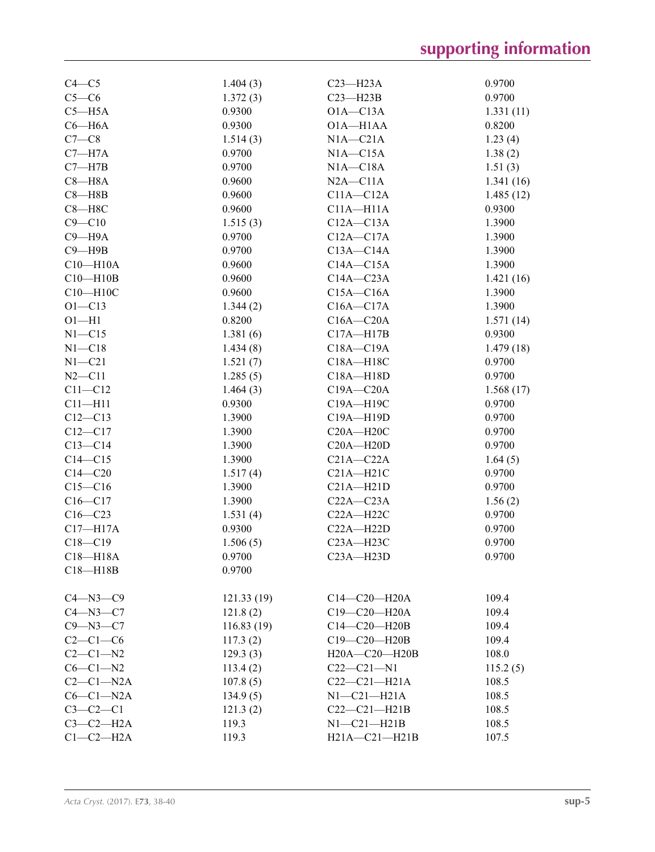| $C4-C5$        | 1.404(3)   | $C23 - H23A$        | 0.9700    |
|----------------|------------|---------------------|-----------|
| $C5-C6$        | 1.372(3)   | $C23 - H23B$        | 0.9700    |
| $C5 - H5A$     | 0.9300     | $O1A - C13A$        | 1.331(11) |
| $C6 - H6A$     | 0.9300     | O1A-H1AA            | 0.8200    |
| $C7-C8$        | 1.514(3)   | $N1A - C21A$        | 1.23(4)   |
| $C7 - H7A$     | 0.9700     | $NIA - C15A$        | 1.38(2)   |
| $C7 - H7B$     | 0.9700     | $NIA - C18A$        | 1.51(3)   |
| $C8 - H8A$     | 0.9600     | $N2A - C11A$        | 1.341(16) |
| $C8 - H8B$     | 0.9600     | $C11A - C12A$       | 1.485(12) |
| $C8 - H8C$     | 0.9600     | $C11A - H11A$       | 0.9300    |
| $C9 - C10$     | 1.515(3)   | $C12A - C13A$       | 1.3900    |
| $C9 - H9A$     | 0.9700     | $C12A - C17A$       | 1.3900    |
| $C9 - H9B$     | 0.9700     | $C13A - C14A$       | 1.3900    |
| $C10 - H10A$   | 0.9600     | $C14A - C15A$       | 1.3900    |
| $C10 - H10B$   | 0.9600     | $C14A - C23A$       | 1.421(16) |
| C10-H10C       | 0.9600     | $C15A - C16A$       | 1.3900    |
| $O1 - C13$     | 1.344(2)   | $C16A - C17A$       | 1.3900    |
| $O1 - H1$      | 0.8200     | $C16A - C20A$       | 1.571(14) |
| $N1 - C15$     | 1.381(6)   | $C17A - H17B$       | 0.9300    |
| $N1 - C18$     | 1.434(8)   | C18A-C19A           | 1.479(18) |
| $N1 - C21$     |            | C18A-H18C           | 0.9700    |
|                | 1.521(7)   | C18A-H18D           | 0.9700    |
| $N2 - C11$     | 1.285(5)   |                     |           |
| $C11 - C12$    | 1.464(3)   | $C19A - C20A$       | 1.568(17) |
| $C11 - H11$    | 0.9300     | C19A-H19C           | 0.9700    |
| $C12 - C13$    | 1.3900     | C19A-H19D           | 0.9700    |
| $C12 - C17$    | 1.3900     | $C20A - H20C$       | 0.9700    |
| $C13 - C14$    | 1.3900     | $C20A - H20D$       | 0.9700    |
| $C14 - C15$    | 1.3900     | $C21A - C22A$       | 1.64(5)   |
| $C14 - C20$    | 1.517(4)   | $C21A - H21C$       | 0.9700    |
| $C15 - C16$    | 1.3900     | $C21A - H21D$       | 0.9700    |
| $C16 - C17$    | 1.3900     | $C22A - C23A$       | 1.56(2)   |
| $C16 - C23$    | 1.531(4)   | $C22A - H22C$       | 0.9700    |
| $C17 - H17A$   | 0.9300     | $C22A - H22D$       | 0.9700    |
| $C18 - C19$    | 1.506(5)   | $C23A - H23C$       | 0.9700    |
| $C18 - H18A$   | 0.9700     | $C23A - H23D$       | 0.9700    |
| $C18 - H18B$   | 0.9700     |                     |           |
| $C4 - N3 - C9$ | 121.33(19) | $C14 - C20 - H20A$  | 109.4     |
| $C4 - N3 - C7$ | 121.8(2)   | C19-C20-H20A        | 109.4     |
| $C9 - N3 - C7$ | 116.83(19) | C14-C20-H20B        | 109.4     |
| $C2-C1-C6$     | 117.3(2)   | C19-C20-H20B        | 109.4     |
| $C2-C1-N2$     | 129.3(3)   | $H20A - C20 - H20B$ | 108.0     |
| $C6-C1-N2$     | 113.4(2)   | $C22-C21-M1$        | 115.2(5)  |
| $C2-C1-N2A$    | 107.8(5)   | $C22-C21-H21A$      | 108.5     |
| $C6-C1-N2A$    | 134.9(5)   | $N1-C21-H21A$       | 108.5     |
| $C3-C2-C1$     | 121.3(2)   | $C22-C21-H21B$      | 108.5     |
| $C3-C2-H2A$    | 119.3      | $N1-C21-H21B$       | 108.5     |
| $C1-C2-H2A$    | 119.3      | H21A-C21-H21B       | 107.5     |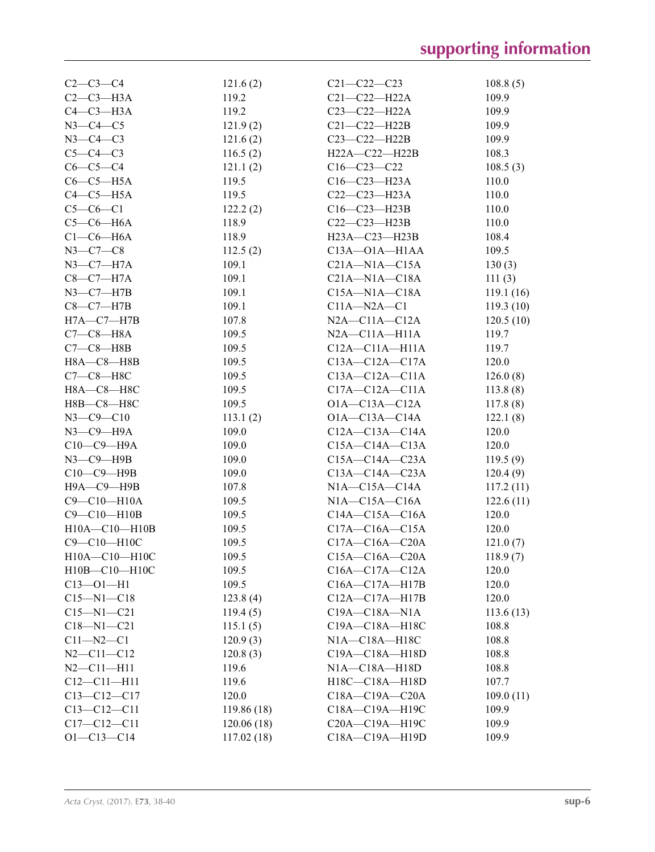| $C2 - C3 - C4$      | 121.6(2)    | $C21 - C22 - C23$       | 108.8(5)  |
|---------------------|-------------|-------------------------|-----------|
| $C2-C3-H3A$         | 119.2       | $C21-C22-H22A$          | 109.9     |
| $C4-C3-H3A$         | 119.2       | $C23 - C22 - H22A$      | 109.9     |
| $N3-C4-C5$          | 121.9(2)    | $C21-C22-H22B$          | 109.9     |
| $N3-C4-C3$          | 121.6(2)    | C23-C22-H22B            | 109.9     |
| $C5-C4-C3$          | 116.5(2)    | $H22A - C22 - H22B$     | 108.3     |
| $C6-C5-C4$          | 121.1(2)    | $C16-C23-C22$           | 108.5(3)  |
| $C6-C5-H5A$         | 119.5       | $C16-C23-H23A$          | 110.0     |
| $C4-C5-H5A$         | 119.5       | $C22-C23-H23A$          | 110.0     |
| $C5-C6-C1$          | 122.2(2)    | $C16-C23-H23B$          | 110.0     |
| $C5-C6-H6A$         | 118.9       | C22-C23-H23B            | 110.0     |
| $C1-C6-H6A$         | 118.9       | H23A-C23-H23B           | 108.4     |
| $N3 - C7 - C8$      | 112.5(2)    | $C13A - O1A - H1AA$     | 109.5     |
| $N3$ —C7—H7A        | 109.1       | $C21A - N1A - C15A$     | 130(3)    |
| $C8-C7-H7A$         | 109.1       | $C21A-M1A-C18A$         | 111(3)    |
| $N3-C7-H7B$         | 109.1       | $C15A - N1A - C18A$     | 119.1(16) |
| $C8-C7-H7B$         | 109.1       | $C11A - N2A - C1$       | 119.3(10) |
| $H7A - C7 - H7B$    | 107.8       | $N2A - C11A - C12A$     | 120.5(10) |
| $C7-C8-H8A$         | 109.5       | $N2A - C11A - H11A$     | 119.7     |
| $C7-C8$ —H8B        | 109.5       | $C12A - C11A - H11A$    | 119.7     |
| H8A-C8-H8B          | 109.5       | $C13A - C12A - C17A$    | 120.0     |
| $C7-C8-H8C$         | 109.5       | $C13A - C12A - C11A$    | 126.0(8)  |
| Н8А-С8-Н8С          | 109.5       | $C17A - C12A - C11A$    | 113.8(8)  |
| H8B-C8-H8C          | 109.5       | $O1A - C13A - C12A$     | 117.8(8)  |
| $N3 - C9 - C10$     | 113.1(2)    | $O1A - C13A - C14A$     | 122.1(8)  |
| $N3$ — $C9$ — $H9A$ | 109.0       | $C12A - C13A - C14A$    | 120.0     |
| $C10-C9-H9A$        | 109.0       | $C15A - C14A - C13A$    | 120.0     |
| $N3$ –C9–H9B        | 109.0       | $C15A - C14A - C23A$    | 119.5(9)  |
| $C10-C9$ —H9B       | 109.0       | $C13A - C14A - C23A$    | 120.4(9)  |
| Н9А-С9-Н9В          | 107.8       | $NIA$ — $C15A$ — $C14A$ | 117.2(11) |
| $C9 - C10 - H10A$   | 109.5       | $NIA$ — $C15A$ — $C16A$ | 122.6(11) |
| $C9 - C10 - H10B$   | 109.5       | $C14A - C15A - C16A$    | 120.0     |
| $H10A - C10 - H10B$ | 109.5       | $C17A - C16A - C15A$    | 120.0     |
| C9-C10-H10C         | 109.5       | $C17A - C16A - C20A$    | 121.0(7)  |
| H10A-C10-H10C       | 109.5       | $C15A - C16A - C20A$    | 118.9(7)  |
| $H10B - C10 - H10C$ | 109.5       | $C16A - C17A - C12A$    | 120.0     |
| $C13 - 01 - H1$     | 109.5       | $C16A - C17A - H17B$    | 120.0     |
| $C15 - N1 - C18$    | 123.8(4)    | $C12A - C17A - H17B$    | 120.0     |
| $C15 - N1 - C21$    | 119.4(5)    | C19A-C18A-N1A           | 113.6(13) |
| $C18 - N1 - C21$    | 115.1(5)    | $C19A - C18A - H18C$    | 108.8     |
| $C11 - N2 - C1$     | 120.9(3)    | N1A-C18A-H18C           | 108.8     |
| $N2 - C11 - C12$    | 120.8(3)    | $C19A - C18A - H18D$    | 108.8     |
| $N2 - C11 - H11$    | 119.6       | $NIA-C18A-H18D$         | 108.8     |
| $C12 - C11 - H11$   | 119.6       | H18C-C18A-H18D          | 107.7     |
| $C13-C12-C17$       | 120.0       | $C18A - C19A - C20A$    | 109.0(11) |
| $C13 - C12 - C11$   | 119.86 (18) | C18A-C19A-H19C          | 109.9     |
| $C17 - C12 - C11$   | 120.06(18)  | C20A-C19A-H19C          | 109.9     |
| $O1 - C13 - C14$    | 117.02(18)  | C18A-C19A-H19D          | 109.9     |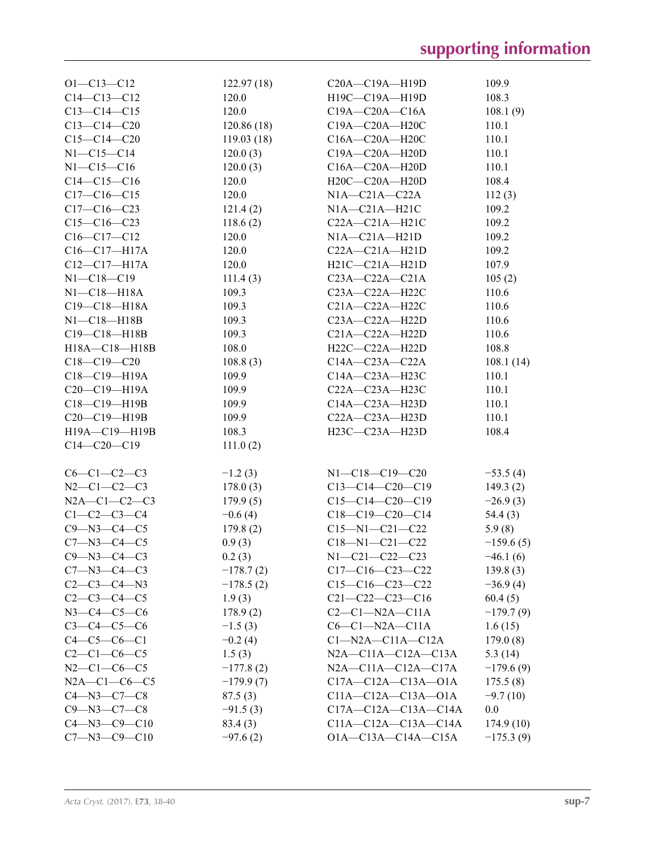| $O1 - C13 - C12$     | 122.97(18)  | C20A-C19A-H19D              | 109.9       |
|----------------------|-------------|-----------------------------|-------------|
| $C14 - C13 - C12$    | 120.0       | H19C-C19A-H19D              | 108.3       |
| $C13-C14-C15$        | 120.0       | $C19A - C20A - C16A$        | 108.1(9)    |
| $C13 - C14 - C20$    | 120.86(18)  | C19A-C20A-H20C              | 110.1       |
| $C15-C14-C20$        | 119.03(18)  | C16A-C20A-H20C              | 110.1       |
| $N1 - C15 - C14$     | 120.0(3)    | C19A-C20A-H20D              | 110.1       |
| $N1 - C15 - C16$     | 120.0(3)    | C16A-C20A-H20D              | 110.1       |
| $C14-C15-C16$        | 120.0       | H20C-C20A-H20D              | 108.4       |
| $C17-C16-C15$        | 120.0       | $N1A - C21A - C22A$         | 112(3)      |
| $C17-C16-C23$        | 121.4(2)    | $NIA-C21A-H21C$             | 109.2       |
| $C15-C16-C23$        | 118.6(2)    | C22A-C21A-H21C              | 109.2       |
| $C16-C17-C12$        | 120.0       | $NIA-C21A-H21D$             | 109.2       |
| $C16 - C17 - H17A$   | 120.0       | $C22A - C21A - H21D$        | 109.2       |
| $C12-C17-H17A$       | 120.0       | $H21C-C21A-H21D$            | 107.9       |
| $N1 - C18 - C19$     | 111.4(3)    | $C23A - C22A - C21A$        | 105(2)      |
| $N1-C18-H18A$        | 109.3       | C23A-C22A-H22C              | 110.6       |
| $C19 - C18 - H18A$   | 109.3       | $C21A - C22A - H22C$        | 110.6       |
| $N1 - C18 - H18B$    | 109.3       | $C23A - C22A - H22D$        | 110.6       |
| C19-C18-H18B         | 109.3       | C21A-C22A-H22D              | 110.6       |
| H18A-C18-H18B        | 108.0       | H22C-C22A-H22D              | 108.8       |
| $C18-C19-C20$        | 108.8(3)    | $C14A - C23A - C22A$        | 108.1(14)   |
| $C18 - C19 - H19A$   | 109.9       | C14A-C23A-H23C              | 110.1       |
| $C20-C19-H19A$       | 109.9       | C22A-C23A-H23C              | 110.1       |
| C18-C19-H19B         | 109.9       | C14A-C23A-H23D              | 110.1       |
| C20-C19-H19B         | 109.9       | C22A-C23A-H23D              | 110.1       |
| H19A-C19-H19B        | 108.3       | H23C-C23A-H23D              | 108.4       |
| $C14-C20-C19$        | 111.0(2)    |                             |             |
|                      |             |                             |             |
| $C6-C1-C2-C3$        | $-1.2(3)$   | $N1 - C18 - C19 - C20$      | $-53.5(4)$  |
| $N2-C1-C2-C3$        | 178.0(3)    | $C13-C14-C20-C19$           | 149.3(2)    |
| $N2A - C1 - C2 - C3$ | 179.9(5)    | $C15-C14-C20-C19$           | $-26.9(3)$  |
| $C1 - C2 - C3 - C4$  | $-0.6(4)$   | $C18-C19-C20-C14$           | 54.4(3)     |
| $C9 - N3 - C4 - C5$  | 179.8(2)    | $C15 - N1 - C21 - C22$      | 5.9(8)      |
| $C7 - N3 - C4 - C5$  | 0.9(3)      | $C18 - N1 - C21 - C22$      | $-159.6(5)$ |
| $C9 - N3 - C4 - C3$  | 0.2(3)      | N1-C21-C22-C23              | $-46.1(6)$  |
| $C7 - N3 - C4 - C3$  | $-178.7(2)$ | $C17-C16-C23-C22$           | 139.8(3)    |
| $C2-C3-C4-N3$        | $-178.5(2)$ | $C15-C16-C23-C22$           | $-36.9(4)$  |
| $C2 - C3 - C4 - C5$  | 1.9(3)      | $C21 - C22 - C23 - C16$     | 60.4(5)     |
| $N3 - C4 - C5 - C6$  | 178.9(2)    | $C2-C1-N2A-C11A$            | $-179.7(9)$ |
| $C3 - C4 - C5 - C6$  | $-1.5(3)$   | $C6-C1-N2A-C11A$            | 1.6(15)     |
| $C4 - C5 - C6 - C1$  | $-0.2(4)$   | $C1-M2A-C11A-C12A$          | 179.0(8)    |
| $C2-C1-C6-C5$        | 1.5(3)      | $N2A - C11A - C12A - C13A$  | 5.3(14)     |
| $N2-C1-C6-C5$        | $-177.8(2)$ | $N2A - C11A - C12A - C17A$  | $-179.6(9)$ |
| $N2A - C1 - C6 - C5$ | $-179.9(7)$ | $C17A - C12A - C13A - O1A$  | 175.5(8)    |
| $C4 - N3 - C7 - C8$  | 87.5(3)     | $C11A-C12A-C13A-O1A$        | $-9.7(10)$  |
| $C9 - N3 - C7 - C8$  | $-91.5(3)$  | $C17A - C12A - C13A - C14A$ | 0.0         |
| $C4 - N3 - C9 - C10$ | 83.4(3)     | $C11A - C12A - C13A - C14A$ | 174.9(10)   |
| $C7 - N3 - C9 - C10$ | $-97.6(2)$  | O1A-C13A-C14A-C15A          | $-175.3(9)$ |
|                      |             |                             |             |